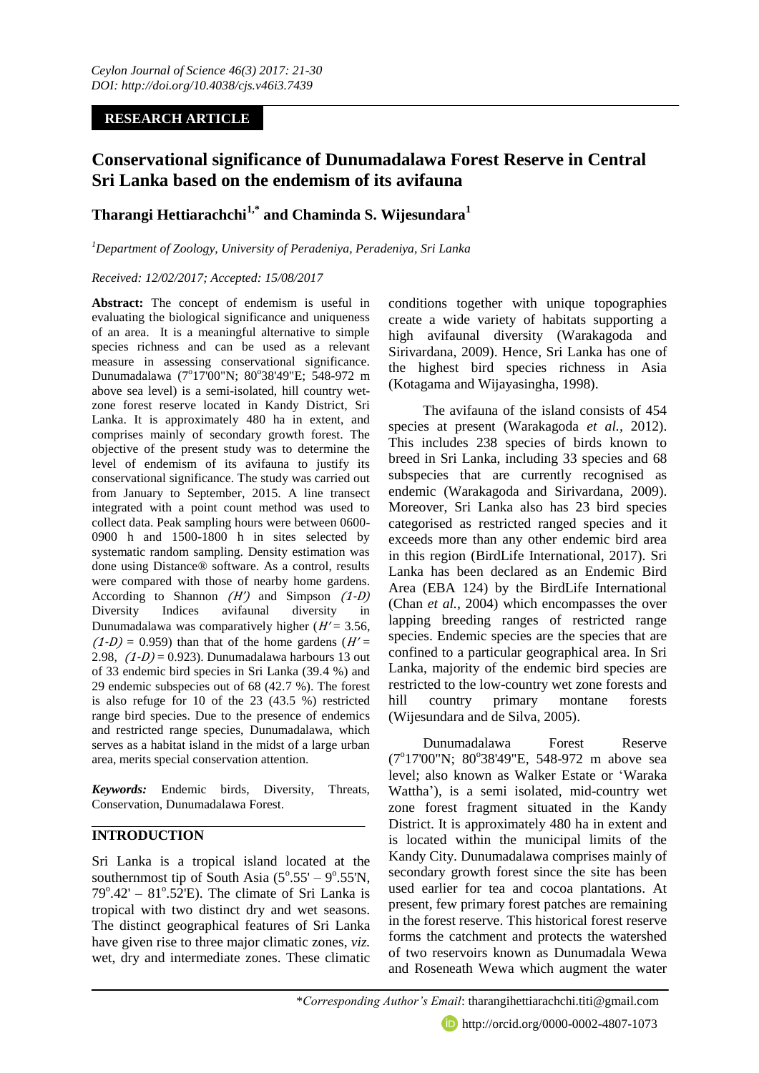# **RESEARCH ARTICLE**

# **Conservational significance of Dunumadalawa Forest Reserve in Central Sri Lanka based on the endemism of its avifauna**

# **Tharangi Hettiarachchi1,\* and Chaminda S. Wijesundara<sup>1</sup>**

## *<sup>1</sup>Department of Zoology, University of Peradeniya, Peradeniya, Sri Lanka*

## *Received: 12/02/2017; Accepted: 15/08/2017*

**Abstract:** The concept of endemism is useful in evaluating the biological significance and uniqueness of an area. It is a meaningful alternative to simple species richness and can be used as a relevant measure in assessing conservational significance. Dunumadalawa (7°17'00"N; 80°38'49"E; 548-972 m above sea level) is a semi-isolated, hill country wetzone forest reserve located in Kandy District, Sri Lanka. It is approximately 480 ha in extent, and comprises mainly of secondary growth forest. The objective of the present study was to determine the level of endemism of its avifauna to justify its conservational significance. The study was carried out from January to September, 2015. A line transect integrated with a point count method was used to collect data. Peak sampling hours were between 0600- 0900 h and 1500-1800 h in sites selected by systematic random sampling. Density estimation was done using Distance® software. As a control, results were compared with those of nearby home gardens. According to Shannon  $(H')$  and Simpson  $(1-D)$ Diversity Indices avifaunal diversity in Dunumadalawa was comparatively higher  $(H' = 3.56$ ,  $(1-D) = 0.959$ ) than that of the home gardens  $(H' =$ 2.98,  $(1-D) = 0.923$ . Dunumadalawa harbours 13 out of 33 endemic bird species in Sri Lanka (39.4 %) and 29 endemic subspecies out of 68 (42.7 %). The forest is also refuge for 10 of the 23 (43.5 %) restricted range bird species. Due to the presence of endemics and restricted range species, Dunumadalawa, which serves as a habitat island in the midst of a large urban area, merits special conservation attention.

*Keywords:* Endemic birds, Diversity, Threats, Conservation, Dunumadalawa Forest.

# **INTRODUCTION**

Sri Lanka is a tropical island located at the southernmost tip of South Asia  $(5^{\circ}.55' - 9^{\circ}.55'N,$  $79^{\circ}.42' - 81^{\circ}.52$ E). The climate of Sri Lanka is tropical with two distinct dry and wet seasons. The distinct geographical features of Sri Lanka have given rise to three major climatic zones, *viz.*  wet, dry and intermediate zones. These climatic

conditions together with unique topographies create a wide variety of habitats supporting a high avifaunal diversity (Warakagoda and Sirivardana, 2009). Hence, Sri Lanka has one of the highest bird species richness in Asia (Kotagama and Wijayasingha, 1998).

The avifauna of the island consists of 454 species at present (Warakagoda *et al.,* 2012). This includes 238 species of birds known to breed in Sri Lanka, including 33 species and 68 subspecies that are currently recognised as endemic (Warakagoda and Sirivardana, 2009). Moreover, Sri Lanka also has 23 bird species categorised as restricted ranged species and it exceeds more than any other endemic bird area in this region (BirdLife International, 2017). Sri Lanka has been declared as an Endemic Bird Area (EBA 124) by the BirdLife International (Chan *et al.,* 2004) which encompasses the over lapping breeding ranges of restricted range species. Endemic species are the species that are confined to a particular geographical area. In Sri Lanka, majority of the endemic bird species are restricted to the low-country wet zone forests and hill country primary montane forests (Wijesundara and de Silva, 2005).

Dunumadalawa Forest Reserve (7°17'00"N; 80°38'49"E, 548-972 m above sea level; also known as Walker Estate or 'Waraka Wattha'), is a semi isolated, mid-country wet zone forest fragment situated in the Kandy District. It is approximately 480 ha in extent and is located within the municipal limits of the Kandy City. Dunumadalawa comprises mainly of secondary growth forest since the site has been used earlier for tea and cocoa plantations. At present, few primary forest patches are remaining in the forest reserve. This historical forest reserve forms the catchment and protects the watershed of two reservoirs known as Dunumadala Wewa and Roseneath Wewa which augment the water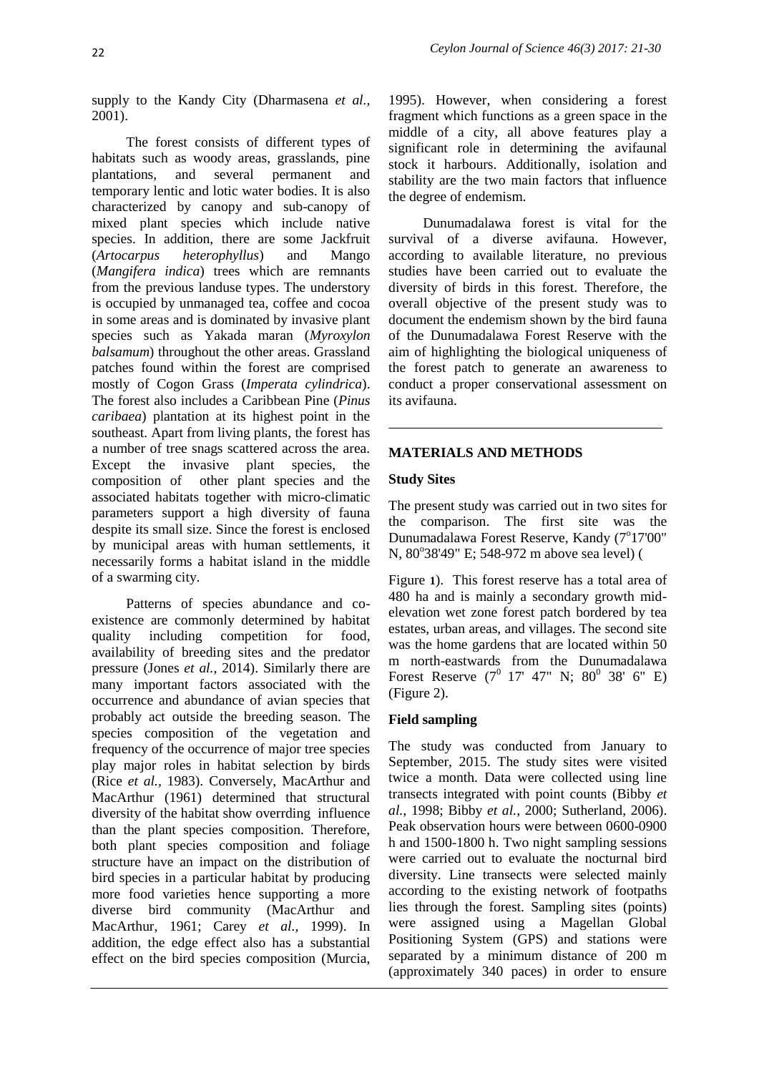supply to the Kandy City (Dharmasena *et al.,* 2001).

The forest consists of different types of habitats such as woody areas, grasslands, pine plantations, and several permanent and temporary lentic and lotic water bodies. It is also characterized by canopy and sub-canopy of mixed plant species which include native species. In addition, there are some Jackfruit (*Artocarpus heterophyllus*) and Mango (*Mangifera indica*) trees which are remnants from the previous landuse types. The understory is occupied by unmanaged tea, coffee and cocoa in some areas and is dominated by invasive plant species such as Yakada maran (*Myroxylon balsamum*) throughout the other areas. Grassland patches found within the forest are comprised mostly of Cogon Grass (*Imperata cylindrica*). The forest also includes a Caribbean Pine (*Pinus caribaea*) plantation at its highest point in the southeast. Apart from living plants, the forest has a number of tree snags scattered across the area. Except the invasive plant species, the composition of other plant species and the associated habitats together with micro-climatic parameters support a high diversity of fauna despite its small size. Since the forest is enclosed by municipal areas with human settlements, it necessarily forms a habitat island in the middle of a swarming city.

Patterns of species abundance and coexistence are commonly determined by habitat quality including competition for food, availability of breeding sites and the predator pressure (Jones *et al.,* 2014). Similarly there are many important factors associated with the occurrence and abundance of avian species that probably act outside the breeding season. The species composition of the vegetation and frequency of the occurrence of major tree species play major roles in habitat selection by birds (Rice *et al.,* 1983). Conversely, MacArthur and MacArthur (1961) determined that structural diversity of the habitat show overrding influence than the plant species composition. Therefore, both plant species composition and foliage structure have an impact on the distribution of bird species in a particular habitat by producing more food varieties hence supporting a more diverse bird community (MacArthur and MacArthur, 1961; Carey *et al.,* 1999). In addition, the edge effect also has a substantial effect on the bird species composition (Murcia,

1995). However, when considering a forest fragment which functions as a green space in the middle of a city, all above features play a significant role in determining the avifaunal stock it harbours. Additionally, isolation and stability are the two main factors that influence the degree of endemism.

Dunumadalawa forest is vital for the survival of a diverse avifauna. However, according to available literature, no previous studies have been carried out to evaluate the diversity of birds in this forest. Therefore, the overall objective of the present study was to document the endemism shown by the bird fauna of the Dunumadalawa Forest Reserve with the aim of highlighting the biological uniqueness of the forest patch to generate an awareness to conduct a proper conservational assessment on its avifauna.

## **MATERIALS AND METHODS**

## **Study Sites**

The present study was carried out in two sites for the comparison. The first site was the Dunumadalawa Forest Reserve, Kandy (7°17'00" N, 80°38'49" E; 548-972 m above sea level) [\(](#page-2-0)

[Figure](#page-2-0) **1**). This forest reserve has a total area of 480 ha and is mainly a secondary growth midelevation wet zone forest patch bordered by tea estates, urban areas, and villages. The second site was the home gardens that are located within 50 m north-eastwards from the Dunumadalawa Forest Reserve  $(7^0$  17' 47" N;  $80^0$  38' 6" E) (Figure 2).

## **Field sampling**

The study was conducted from January to September, 2015. The study sites were visited twice a month. Data were collected using line transects integrated with point counts (Bibby *et al.,* 1998; Bibby *et al.,* 2000; Sutherland, 2006). Peak observation hours were between 0600-0900 h and 1500-1800 h. Two night sampling sessions were carried out to evaluate the nocturnal bird diversity. Line transects were selected mainly according to the existing network of footpaths lies through the forest. Sampling sites (points) were assigned using a Magellan Global Positioning System (GPS) and stations were separated by a minimum distance of 200 m (approximately 340 paces) in order to ensure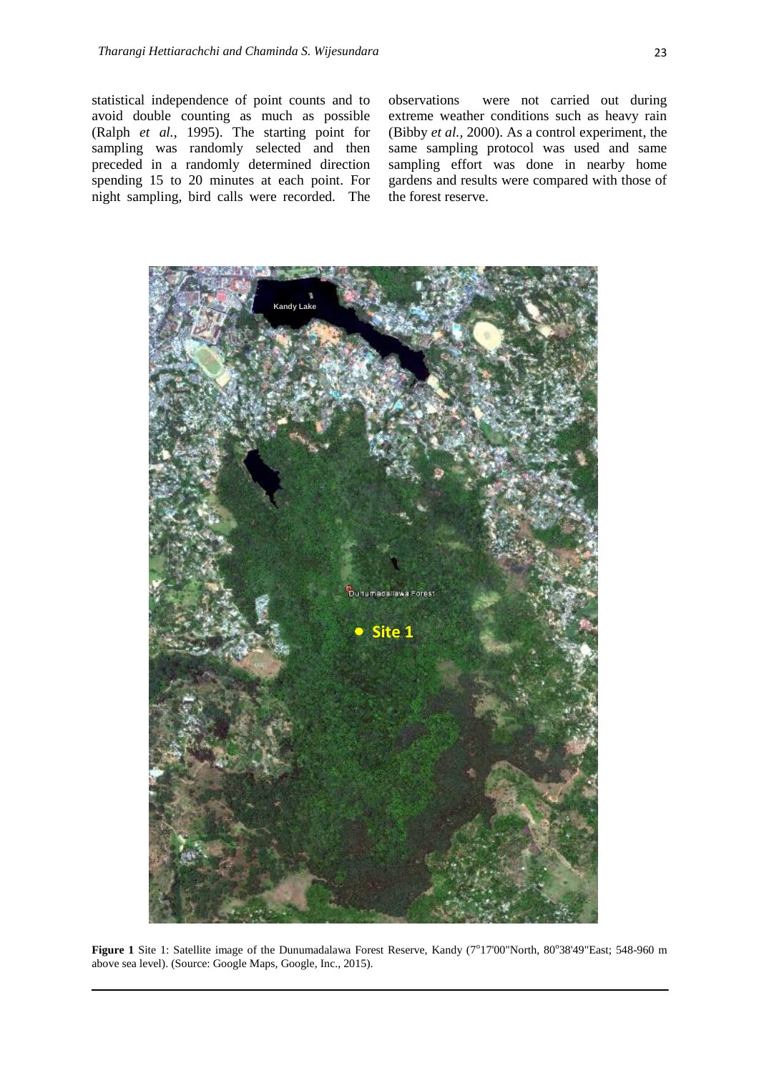statistical independence of point counts and to avoid double counting as much as possible (Ralph *et al.,* 1995). The starting point for sampling was randomly selected and then preceded in a randomly determined direction spending 15 to 20 minutes at each point. For night sampling, bird calls were recorded. The

observations were not carried out during extreme weather conditions such as heavy rain (Bibby *et al.,* 2000). As a control experiment, the same sampling protocol was used and same sampling effort was done in nearby home gardens and results were compared with those of the forest reserve.



<span id="page-2-0"></span>Figure 1 Site 1: Satellite image of the Dunumadalawa Forest Reserve, Kandy (7°17'00"North, 80°38'49"East; 548-960 m above sea level). (Source: Google Maps, Google, Inc., 2015).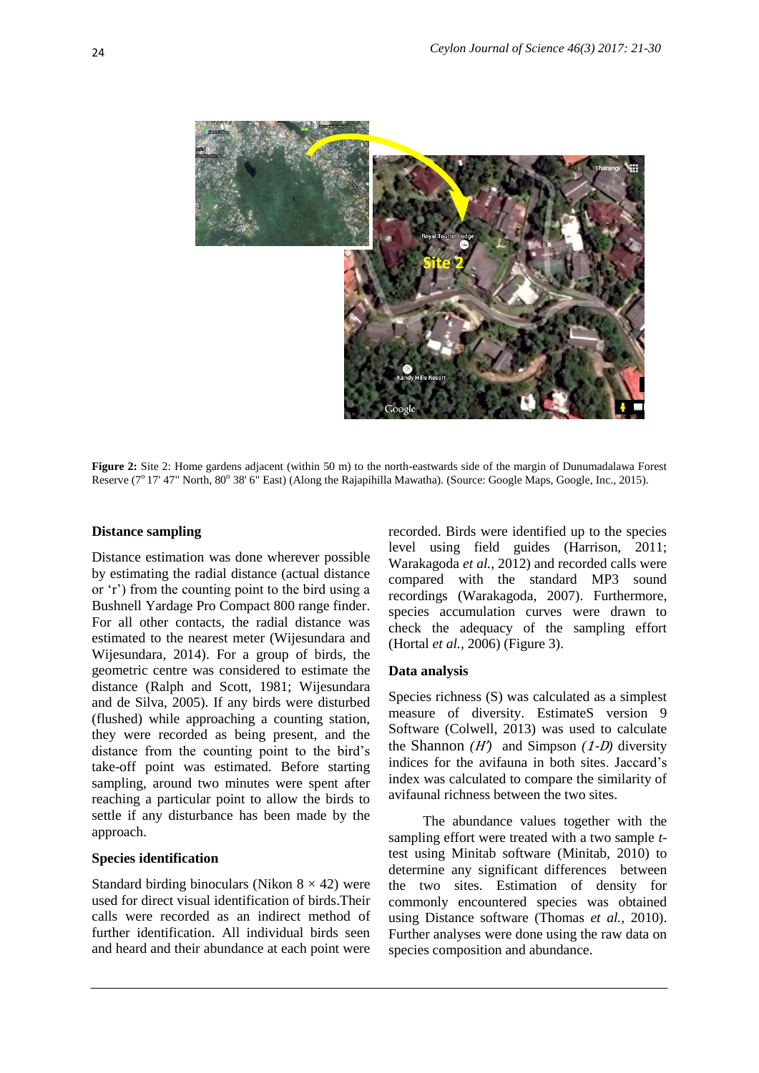

**Figure 2:** Site 2: Home gardens adjacent (within 50 m) to the north-eastwards side of the margin of Dunumadalawa Forest Reserve (7<sup>o</sup> 17' 47" North, 80° 38' 6" East) (Along the Rajapihilla Mawatha). (Source: Google Maps, Google, Inc., 2015).

#### **Distance sampling**

Distance estimation was done wherever possible by estimating the radial distance (actual distance or 'r') from the counting point to the bird using a Bushnell Yardage Pro Compact 800 range finder. For all other contacts, the radial distance was estimated to the nearest meter (Wijesundara and Wijesundara, 2014). For a group of birds, the geometric centre was considered to estimate the distance (Ralph and Scott, 1981; Wijesundara and de Silva, 2005). If any birds were disturbed (flushed) while approaching a counting station, they were recorded as being present, and the distance from the counting point to the bird's take-off point was estimated. Before starting sampling, around two minutes were spent after reaching a particular point to allow the birds to settle if any disturbance has been made by the approach.

### **Species identification**

Standard birding binoculars (Nikon  $8 \times 42$ ) were used for direct visual identification of birds.Their calls were recorded as an indirect method of further identification. All individual birds seen and heard and their abundance at each point were recorded. Birds were identified up to the species level using field guides (Harrison, 2011; Warakagoda *et al.,* 2012) and recorded calls were compared with the standard MP3 sound recordings (Warakagoda, 2007). Furthermore, species accumulation curves were drawn to check the adequacy of the sampling effort (Hortal *et al.,* 2006) [\(Figure 3](#page-4-0)).

#### **Data analysis**

Species richness (S) was calculated as a simplest measure of diversity. EstimateS version 9 Software (Colwell, 2013) was used to calculate the Shannon  $(H')$  and Simpson  $(1-D)$  diversity indices for the avifauna in both sites. Jaccard's index was calculated to compare the similarity of avifaunal richness between the two sites.

The abundance values together with the sampling effort were treated with a two sample *t*test using Minitab software (Minitab, 2010) to determine any significant differences between the two sites. Estimation of density for commonly encountered species was obtained using Distance software (Thomas *et al.,* 2010). Further analyses were done using the raw data on species composition and abundance.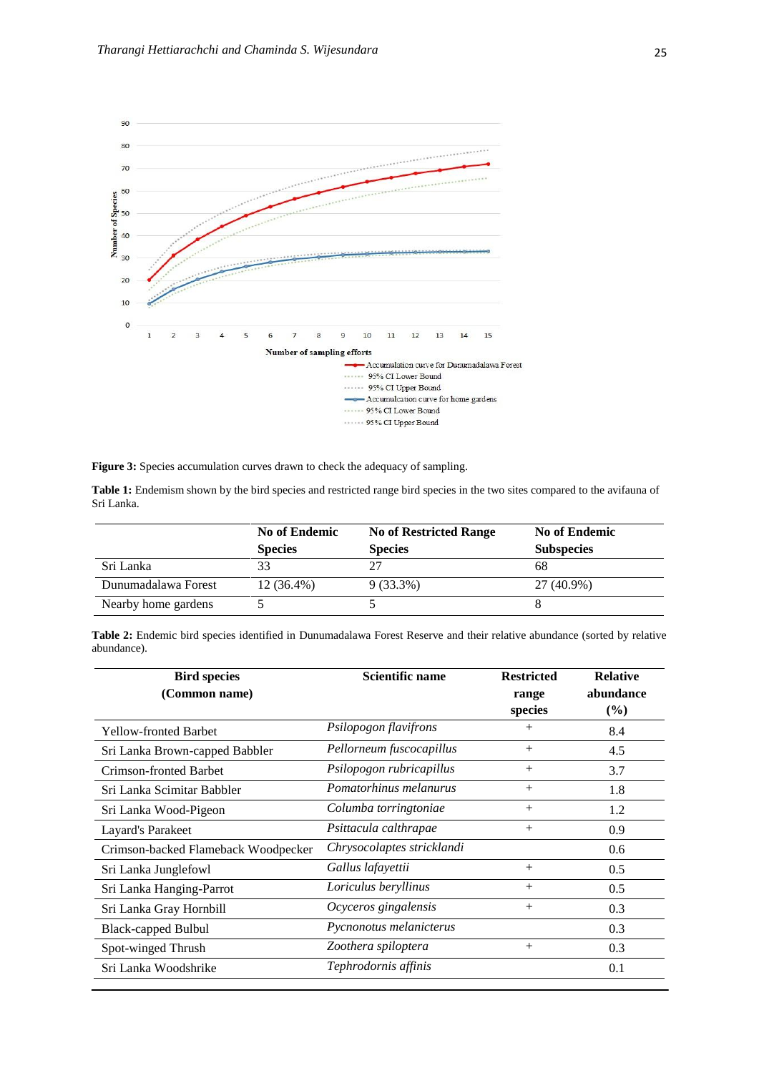

<span id="page-4-0"></span>Figure 3: Species accumulation curves drawn to check the adequacy of sampling.

<span id="page-4-1"></span>

| Table 1: Endemism shown by the bird species and restricted range bird species in the two sites compared to the avifauna of |  |  |  |
|----------------------------------------------------------------------------------------------------------------------------|--|--|--|
| Sri Lanka.                                                                                                                 |  |  |  |

|                     | <b>No of Endemic</b> | <b>No of Restricted Range</b> | <b>No of Endemic</b> |
|---------------------|----------------------|-------------------------------|----------------------|
|                     | <b>Species</b>       | <b>Species</b>                | <b>Subspecies</b>    |
| Sri Lanka           | 33                   |                               | 68                   |
| Dunumadalawa Forest | $12(36.4\%)$         | $9(33.3\%)$                   | 27 (40.9%)           |
| Nearby home gardens |                      |                               |                      |

| Table 2: Endemic bird species identified in Dunumadalawa Forest Reserve and their relative abundance (sorted by relative |  |  |  |  |  |
|--------------------------------------------------------------------------------------------------------------------------|--|--|--|--|--|
| abundance).                                                                                                              |  |  |  |  |  |

| <b>Bird species</b>                 | Scientific name            | <b>Restricted</b> | <b>Relative</b> |  |
|-------------------------------------|----------------------------|-------------------|-----------------|--|
| (Common name)                       |                            | range             | abundance       |  |
|                                     |                            | species           | $(\%)$          |  |
| <b>Yellow-fronted Barbet</b>        | Psilopogon flavifrons      | $\! +$            | 8.4             |  |
| Sri Lanka Brown-capped Babbler      | Pellorneum fuscocapillus   | $^{+}$            | 4.5             |  |
| Crimson-fronted Barbet              | Psilopogon rubricapillus   | $^{+}$            | 3.7             |  |
| Sri Lanka Scimitar Babbler          | Pomatorhinus melanurus     | $^{+}$            | 1.8             |  |
| Sri Lanka Wood-Pigeon               | Columba torringtoniae      | $^{+}$            | 1.2             |  |
| Layard's Parakeet                   | Psittacula calthrapae      | $^{+}$            | 0.9             |  |
| Crimson-backed Flameback Woodpecker | Chrysocolaptes stricklandi |                   | 0.6             |  |
| Sri Lanka Junglefowl                | Gallus lafayettii          | $^{+}$            | 0.5             |  |
| Sri Lanka Hanging-Parrot            | Loriculus beryllinus       | $+$               | 0.5             |  |
| Sri Lanka Gray Hornbill             | Ocyceros gingalensis       | $^{+}$            | 0.3             |  |
| <b>Black-capped Bulbul</b>          | Pycnonotus melanicterus    |                   | 0.3             |  |
| Spot-winged Thrush                  | Zoothera spiloptera        | $^{+}$            | 0.3             |  |
| Sri Lanka Woodshrike                | Tephrodornis affinis       |                   | 0.1             |  |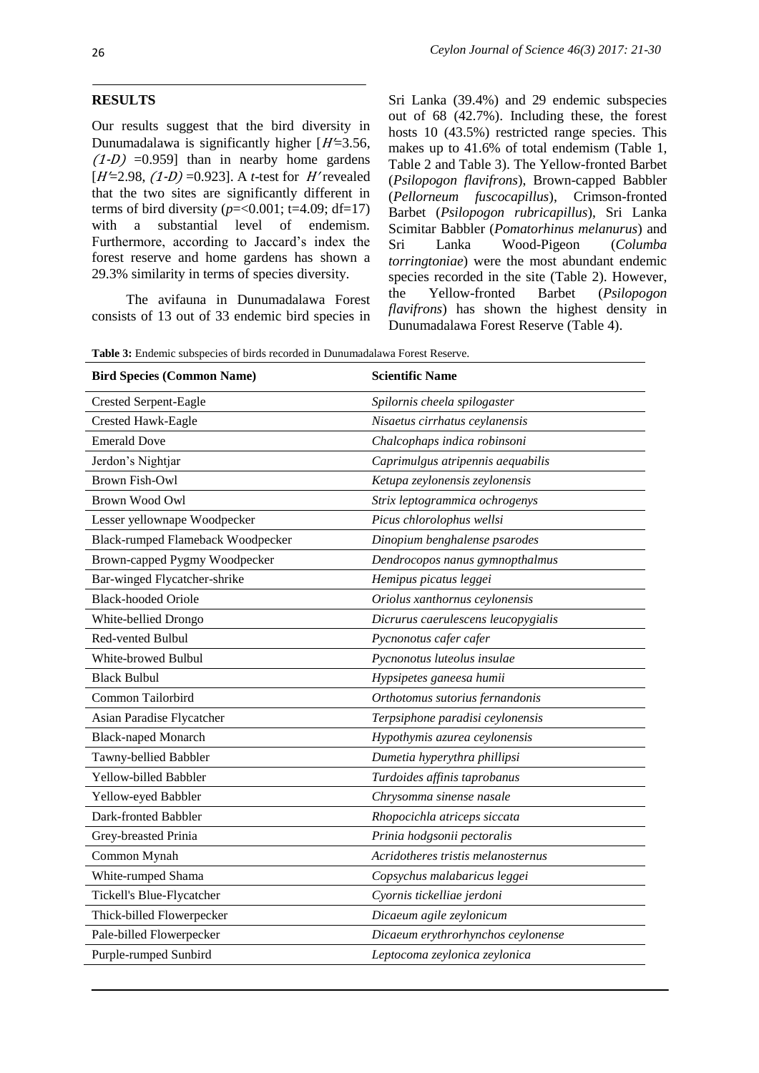### **RESULTS**

Our results suggest that the bird diversity in Dunumadalawa is significantly higher  $[H=3.56,$  $(1-D)$  =0.959] than in nearby home gardens  $[H=2.98, (1-D) = 0.923]$ . A *t*-test for H' revealed that the two sites are significantly different in terms of bird diversity ( $p = < 0.001$ ; t=4.09; df=17) with a substantial level of endemism. Furthermore, according to Jaccard's index the forest reserve and home gardens has shown a 29.3% similarity in terms of species diversity.

The avifauna in Dunumadalawa Forest consists of 13 out of 33 endemic bird species in

Sri Lanka (39.4%) and 29 endemic subspecies out of 68 (42.7%). Including these, the forest hosts 10 (43.5%) restricted range species. This makes up to 41.6% of total endemism [\(Table 1,](#page-4-1) Table 2 and Table 3). The Yellow-fronted Barbet (*Psilopogon flavifrons*), Brown-capped Babbler (*Pellorneum fuscocapillus*), Crimson-fronted Barbet (*Psilopogon rubricapillus*), Sri Lanka Scimitar Babbler (*Pomatorhinus melanurus*) and Sri Lanka Wood-Pigeon (*Columba torringtoniae*) were the most abundant endemic species recorded in the site (Table 2). However, the Yellow-fronted Barbet (*Psilopogon flavifrons*) has shown the highest density in Dunumadalawa Forest Reserve (Table 4).

**Table 3:** Endemic subspecies of birds recorded in Dunumadalawa Forest Reserve.

| <b>Bird Species (Common Name)</b> | <b>Scientific Name</b>              |  |  |
|-----------------------------------|-------------------------------------|--|--|
| <b>Crested Serpent-Eagle</b>      | Spilornis cheela spilogaster        |  |  |
| Crested Hawk-Eagle                | Nisaetus cirrhatus ceylanensis      |  |  |
| <b>Emerald Dove</b>               | Chalcophaps indica robinsoni        |  |  |
| Jerdon's Nightjar                 | Caprimulgus atripennis aequabilis   |  |  |
| <b>Brown Fish-Owl</b>             | Ketupa zeylonensis zeylonensis      |  |  |
| <b>Brown Wood Owl</b>             | Strix leptogrammica ochrogenys      |  |  |
| Lesser yellownape Woodpecker      | Picus chlorolophus wellsi           |  |  |
| Black-rumped Flameback Woodpecker | Dinopium benghalense psarodes       |  |  |
| Brown-capped Pygmy Woodpecker     | Dendrocopos nanus gymnopthalmus     |  |  |
| Bar-winged Flycatcher-shrike      | Hemipus picatus leggei              |  |  |
| <b>Black-hooded Oriole</b>        | Oriolus xanthornus ceylonensis      |  |  |
| White-bellied Drongo              | Dicrurus caerulescens leucopygialis |  |  |
| Red-vented Bulbul                 | Pycnonotus cafer cafer              |  |  |
| White-browed Bulbul               | Pycnonotus luteolus insulae         |  |  |
| <b>Black Bulbul</b>               | Hypsipetes ganeesa humii            |  |  |
| Common Tailorbird                 | Orthotomus sutorius fernandonis     |  |  |
| Asian Paradise Flycatcher         | Terpsiphone paradisi ceylonensis    |  |  |
| <b>Black-naped Monarch</b>        | Hypothymis azurea ceylonensis       |  |  |
| Tawny-bellied Babbler             | Dumetia hyperythra phillipsi        |  |  |
| Yellow-billed Babbler             | Turdoides affinis taprobanus        |  |  |
| Yellow-eyed Babbler               | Chrysomma sinense nasale            |  |  |
| Dark-fronted Babbler              | Rhopocichla atriceps siccata        |  |  |
| Grey-breasted Prinia              | Prinia hodgsonii pectoralis         |  |  |
| Common Mynah                      | Acridotheres tristis melanosternus  |  |  |
| White-rumped Shama                | Copsychus malabaricus leggei        |  |  |
| Tickell's Blue-Flycatcher         | Cyornis tickelliae jerdoni          |  |  |
| Thick-billed Flowerpecker         | Dicaeum agile zeylonicum            |  |  |
| Pale-billed Flowerpecker          | Dicaeum erythrorhynchos ceylonense  |  |  |
| Purple-rumped Sunbird             | Leptocoma zeylonica zeylonica       |  |  |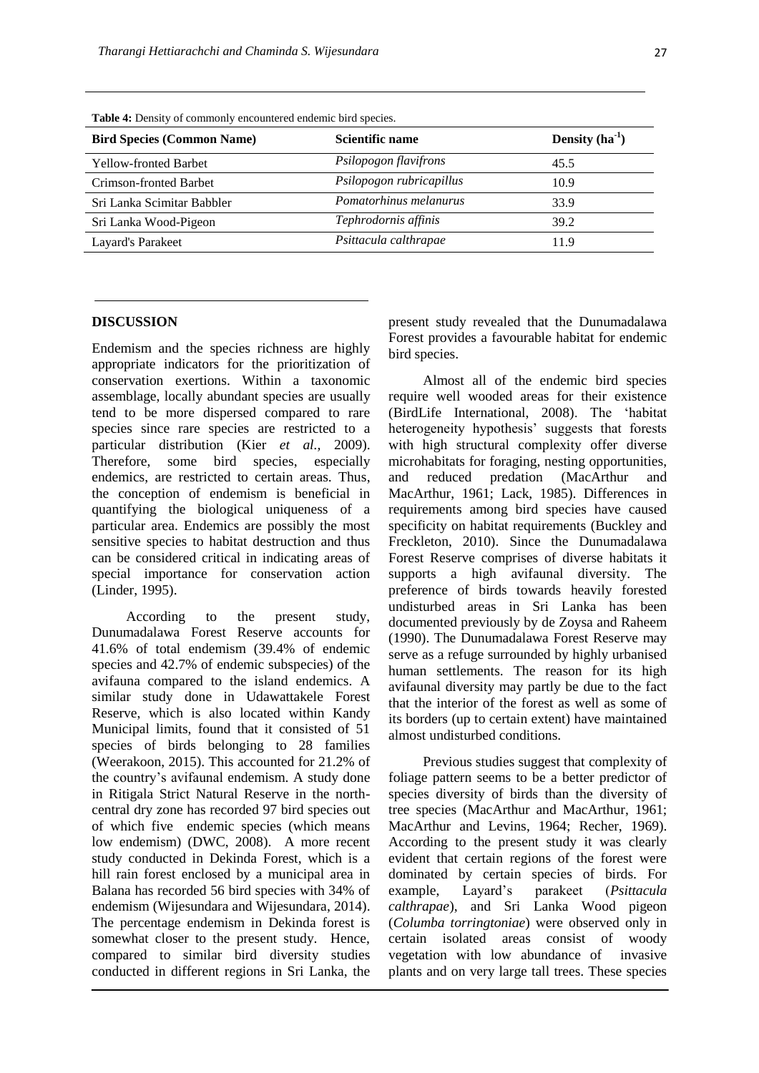| Twore it Bendry of commonly encountered endemic circ operator |                          |                  |  |  |
|---------------------------------------------------------------|--------------------------|------------------|--|--|
| <b>Bird Species (Common Name)</b>                             | <b>Scientific name</b>   | Density $(ha^1)$ |  |  |
| <b>Yellow-fronted Barbet</b>                                  | Psilopogon flavifrons    | 45.5             |  |  |
| Crimson-fronted Barbet                                        | Psilopogon rubricapillus | 10.9             |  |  |
| Sri Lanka Scimitar Babbler                                    | Pomatorhinus melanurus   | 33.9             |  |  |
| Sri Lanka Wood-Pigeon                                         | Tephrodornis affinis     | 39.2             |  |  |
| Layard's Parakeet                                             | Psittacula calthrapae    | 11.9             |  |  |
|                                                               |                          |                  |  |  |

**Table 4:** Density of commonly encountered endemic bird species.

#### **DISCUSSION**

Endemism and the species richness are highly appropriate indicators for the prioritization of conservation exertions. Within a taxonomic assemblage, locally abundant species are usually tend to be more dispersed compared to rare species since rare species are restricted to a particular distribution (Kier *et al.,* 2009). Therefore, some bird species, especially endemics, are restricted to certain areas. Thus, the conception of endemism is beneficial in quantifying the biological uniqueness of a particular area. Endemics are possibly the most sensitive species to habitat destruction and thus can be considered critical in indicating areas of special importance for conservation action (Linder, 1995).

According to the present study, Dunumadalawa Forest Reserve accounts for 41.6% of total endemism (39.4% of endemic species and 42.7% of endemic subspecies) of the avifauna compared to the island endemics. A similar study done in Udawattakele Forest Reserve, which is also located within Kandy Municipal limits, found that it consisted of 51 species of birds belonging to 28 families (Weerakoon, 2015). This accounted for 21.2% of the country's avifaunal endemism. A study done in Ritigala Strict Natural Reserve in the northcentral dry zone has recorded 97 bird species out of which five endemic species (which means low endemism) (DWC, 2008). A more recent study conducted in Dekinda Forest, which is a hill rain forest enclosed by a municipal area in Balana has recorded 56 bird species with 34% of endemism (Wijesundara and Wijesundara, 2014). The percentage endemism in Dekinda forest is somewhat closer to the present study. Hence, compared to similar bird diversity studies conducted in different regions in Sri Lanka, the present study revealed that the Dunumadalawa Forest provides a favourable habitat for endemic bird species.

Almost all of the endemic bird species require well wooded areas for their existence (BirdLife International, 2008). The 'habitat heterogeneity hypothesis' suggests that forests with high structural complexity offer diverse microhabitats for foraging, nesting opportunities, and reduced predation (MacArthur and MacArthur, 1961; Lack, 1985). Differences in requirements among bird species have caused specificity on habitat requirements (Buckley and Freckleton, 2010). Since the Dunumadalawa Forest Reserve comprises of diverse habitats it supports a high avifaunal diversity. The preference of birds towards heavily forested undisturbed areas in Sri Lanka has been documented previously by de Zoysa and Raheem (1990). The Dunumadalawa Forest Reserve may serve as a refuge surrounded by highly urbanised human settlements. The reason for its high avifaunal diversity may partly be due to the fact that the interior of the forest as well as some of its borders (up to certain extent) have maintained almost undisturbed conditions.

Previous studies suggest that complexity of foliage pattern seems to be a better predictor of species diversity of birds than the diversity of tree species (MacArthur and MacArthur, 1961; MacArthur and Levins, 1964; Recher, 1969). According to the present study it was clearly evident that certain regions of the forest were dominated by certain species of birds. For example, Layard's parakeet (*Psittacula calthrapae*), and Sri Lanka Wood pigeon (*Columba torringtoniae*) were observed only in certain isolated areas consist of woody vegetation with low abundance of invasive plants and on very large tall trees. These species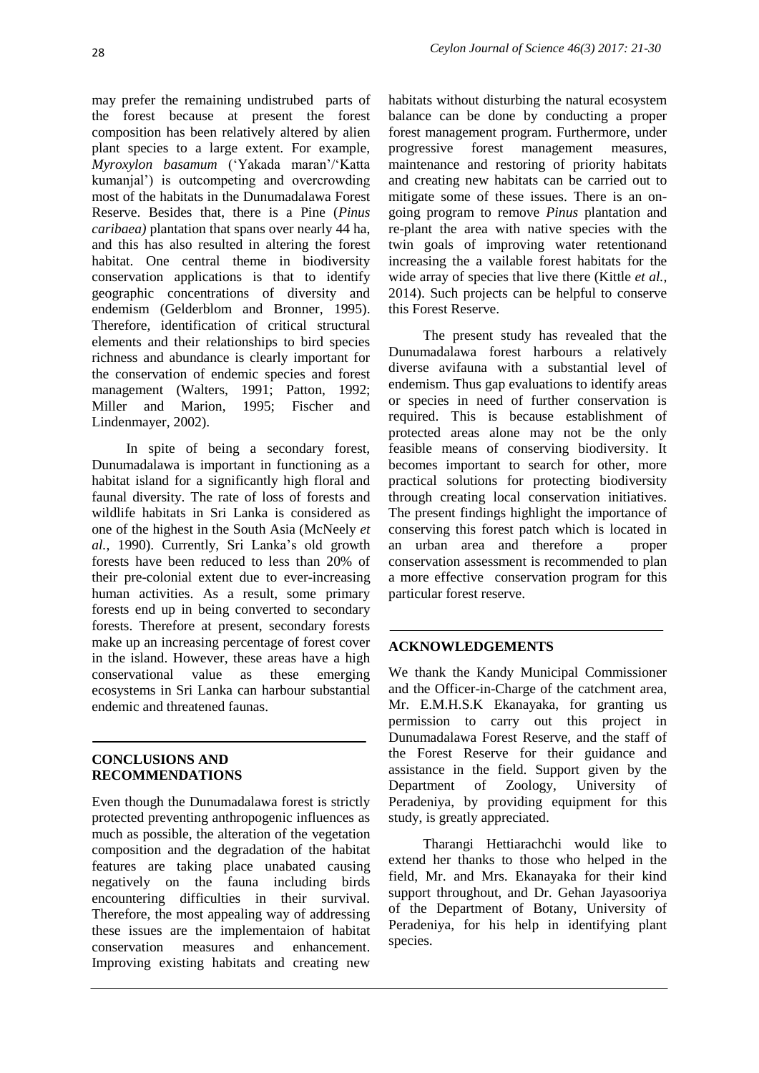may prefer the remaining undistrubed parts of the forest because at present the forest composition has been relatively altered by alien plant species to a large extent. For example, *Myroxylon basamum* ('Yakada maran'/'Katta kumanjal') is outcompeting and overcrowding most of the habitats in the Dunumadalawa Forest Reserve. Besides that, there is a Pine (*Pinus caribaea)* plantation that spans over nearly 44 ha, and this has also resulted in altering the forest habitat. One central theme in biodiversity conservation applications is that to identify geographic concentrations of diversity and endemism (Gelderblom and Bronner, 1995). Therefore, identification of critical structural elements and their relationships to bird species richness and abundance is clearly important for the conservation of endemic species and forest management (Walters, 1991; Patton, 1992; Miller and Marion, 1995; Fischer and Lindenmayer, 2002).

In spite of being a secondary forest, Dunumadalawa is important in functioning as a habitat island for a significantly high floral and faunal diversity. The rate of loss of forests and wildlife habitats in Sri Lanka is considered as one of the highest in the South Asia (McNeely *et al.,* 1990). Currently, Sri Lanka's old growth forests have been reduced to less than 20% of their pre-colonial extent due to ever-increasing human activities. As a result, some primary forests end up in being converted to secondary forests. Therefore at present, secondary forests make up an increasing percentage of forest cover in the island. However, these areas have a high conservational value as these emerging ecosystems in Sri Lanka can harbour substantial endemic and threatened faunas.

## **CONCLUSIONS AND RECOMMENDATIONS**

Even though the Dunumadalawa forest is strictly protected preventing anthropogenic influences as much as possible, the alteration of the vegetation composition and the degradation of the habitat features are taking place unabated causing negatively on the fauna including birds encountering difficulties in their survival. Therefore, the most appealing way of addressing these issues are the implementaion of habitat conservation measures and enhancement. Improving existing habitats and creating new

habitats without disturbing the natural ecosystem balance can be done by conducting a proper forest management program. Furthermore, under progressive forest management measures, maintenance and restoring of priority habitats and creating new habitats can be carried out to mitigate some of these issues. There is an ongoing program to remove *Pinus* plantation and re-plant the area with native species with the twin goals of improving water retentionand increasing the a vailable forest habitats for the wide array of species that live there (Kittle *et al.,* 2014). Such projects can be helpful to conserve this Forest Reserve.

The present study has revealed that the Dunumadalawa forest harbours a relatively diverse avifauna with a substantial level of endemism. Thus gap evaluations to identify areas or species in need of further conservation is required. This is because establishment of protected areas alone may not be the only feasible means of conserving biodiversity. It becomes important to search for other, more practical solutions for protecting biodiversity through creating local conservation initiatives. The present findings highlight the importance of conserving this forest patch which is located in an urban area and therefore a proper conservation assessment is recommended to plan a more effective conservation program for this particular forest reserve.

# **ACKNOWLEDGEMENTS**

We thank the Kandy Municipal Commissioner and the Officer-in-Charge of the catchment area, Mr. E.M.H.S.K Ekanayaka, for granting us permission to carry out this project in Dunumadalawa Forest Reserve, and the staff of the Forest Reserve for their guidance and assistance in the field. Support given by the Department of Zoology, University of Peradeniya, by providing equipment for this study, is greatly appreciated.

Tharangi Hettiarachchi would like to extend her thanks to those who helped in the field, Mr. and Mrs. Ekanayaka for their kind support throughout, and Dr. Gehan Jayasooriya of the Department of Botany, University of Peradeniya, for his help in identifying plant species.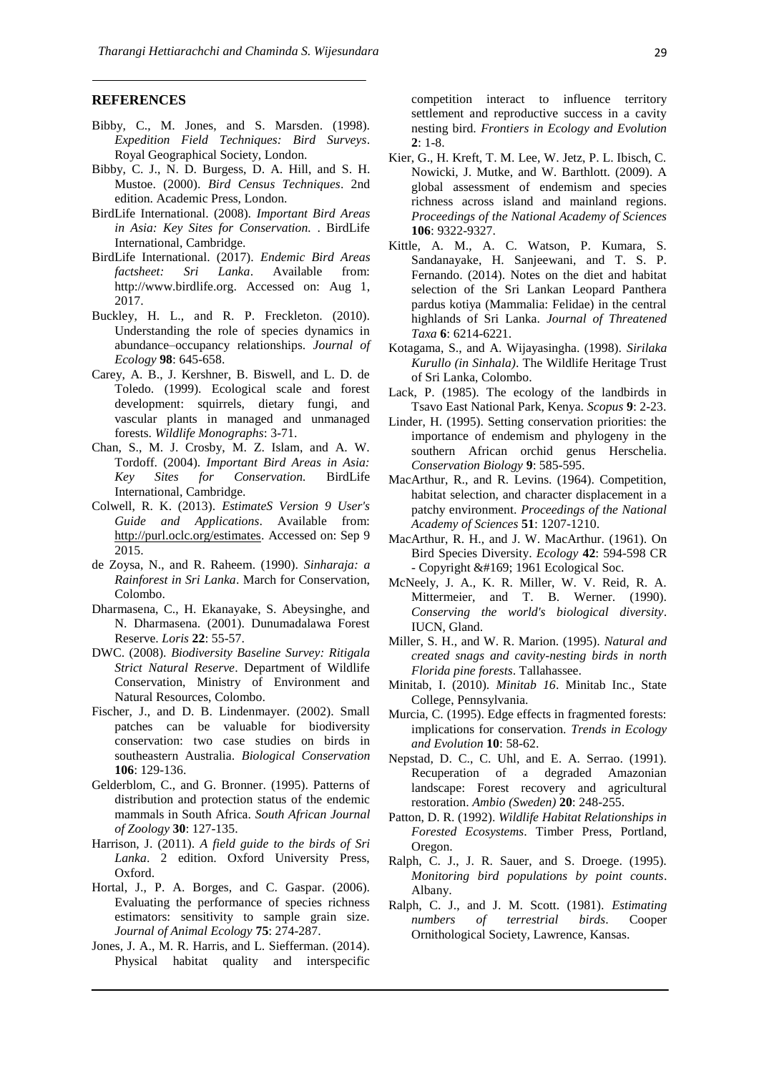#### **REFERENCES**

- Bibby, C., M. Jones, and S. Marsden. (1998). *Expedition Field Techniques: Bird Surveys*. Royal Geographical Society, London.
- Bibby, C. J., N. D. Burgess, D. A. Hill, and S. H. Mustoe. (2000). *Bird Census Techniques*. 2nd edition. Academic Press, London.
- BirdLife International. (2008). *Important Bird Areas in Asia: Key Sites for Conservation.* . BirdLife International, Cambridge.
- BirdLife International. (2017). *Endemic Bird Areas factsheet: Sri Lanka*. Available from: [http://www.birdlife.org.](http://www.birdlife.org/) Accessed on: Aug 1, 2017.
- Buckley, H. L., and R. P. Freckleton. (2010). Understanding the role of species dynamics in abundance–occupancy relationships. *Journal of Ecology* **98**: 645-658.
- Carey, A. B., J. Kershner, B. Biswell, and L. D. de Toledo. (1999). Ecological scale and forest development: squirrels, dietary fungi, and vascular plants in managed and unmanaged forests. *Wildlife Monographs*: 3-71.
- Chan, S., M. J. Crosby, M. Z. Islam, and A. W. Tordoff. (2004). *Important Bird Areas in Asia: Key Sites for Conservation.* BirdLife International, Cambridge.
- Colwell, R. K. (2013). *EstimateS Version 9 User's Guide and Applications*. Available from: [http://purl.oclc.org/estimates.](http://purl.oclc.org/estimates) Accessed on: Sep 9 2015.
- de Zoysa, N., and R. Raheem. (1990). *Sinharaja: a Rainforest in Sri Lanka*. March for Conservation, Colombo.
- Dharmasena, C., H. Ekanayake, S. Abeysinghe, and N. Dharmasena. (2001). Dunumadalawa Forest Reserve. *Loris* **22**: 55-57.
- DWC. (2008). *Biodiversity Baseline Survey: Ritigala Strict Natural Reserve*. Department of Wildlife Conservation, Ministry of Environment and Natural Resources, Colombo.
- Fischer, J., and D. B. Lindenmayer. (2002). Small patches can be valuable for biodiversity conservation: two case studies on birds in southeastern Australia. *Biological Conservation* **106**: 129-136.
- Gelderblom, C., and G. Bronner. (1995). Patterns of distribution and protection status of the endemic mammals in South Africa. *South African Journal of Zoology* **30**: 127-135.
- Harrison, J. (2011). *A field guide to the birds of Sri Lanka*. 2 edition. Oxford University Press, Oxford.
- Hortal, J., P. A. Borges, and C. Gaspar. (2006). Evaluating the performance of species richness estimators: sensitivity to sample grain size. *Journal of Animal Ecology* **75**: 274-287.
- Jones, J. A., M. R. Harris, and L. Siefferman. (2014). Physical habitat quality and interspecific

competition interact to influence territory settlement and reproductive success in a cavity nesting bird. *Frontiers in Ecology and Evolution* **2**: 1-8.

- Kier, G., H. Kreft, T. M. Lee, W. Jetz, P. L. Ibisch, C. Nowicki, J. Mutke, and W. Barthlott. (2009). A global assessment of endemism and species richness across island and mainland regions. *Proceedings of the National Academy of Sciences* **106**: 9322-9327.
- Kittle, A. M., A. C. Watson, P. Kumara, S. Sandanayake, H. Sanjeewani, and T. S. P. Fernando. (2014). Notes on the diet and habitat selection of the Sri Lankan Leopard Panthera pardus kotiya (Mammalia: Felidae) in the central highlands of Sri Lanka. *Journal of Threatened Taxa* **6**: 6214-6221.
- Kotagama, S., and A. Wijayasingha. (1998). *Sirilaka Kurullo (in Sinhala)*. The Wildlife Heritage Trust of Sri Lanka, Colombo.
- Lack, P. (1985). The ecology of the landbirds in Tsavo East National Park, Kenya. *Scopus* **9**: 2-23.
- Linder, H. (1995). Setting conservation priorities: the importance of endemism and phylogeny in the southern African orchid genus Herschelia. *Conservation Biology* **9**: 585-595.
- MacArthur, R., and R. Levins. (1964). Competition, habitat selection, and character displacement in a patchy environment. *Proceedings of the National Academy of Sciences* **51**: 1207-1210.
- MacArthur, R. H., and J. W. MacArthur. (1961). On Bird Species Diversity. *Ecology* **42**: 594-598 CR - Copyright © 1961 Ecological Soc.
- McNeely, J. A., K. R. Miller, W. V. Reid, R. A. Mittermeier, and T. B. Werner. (1990). *Conserving the world's biological diversity*. IUCN, Gland.
- Miller, S. H., and W. R. Marion. (1995). *Natural and created snags and cavity-nesting birds in north Florida pine forests*. Tallahassee.
- Minitab, I. (2010). *Minitab 16*. Minitab Inc., State College, Pennsylvania.
- Murcia, C. (1995). Edge effects in fragmented forests: implications for conservation. *Trends in Ecology and Evolution* **10**: 58-62.
- Nepstad, D. C., C. Uhl, and E. A. Serrao. (1991). Recuperation of a degraded Amazonian landscape: Forest recovery and agricultural restoration. *Ambio (Sweden)* **20**: 248-255.
- Patton, D. R. (1992). *Wildlife Habitat Relationships in Forested Ecosystems*. Timber Press, Portland, Oregon.
- Ralph, C. J., J. R. Sauer, and S. Droege. (1995). *Monitoring bird populations by point counts*. Albany.
- Ralph, C. J., and J. M. Scott. (1981). *Estimating numbers of terrestrial birds*. Cooper Ornithological Society, Lawrence, Kansas.